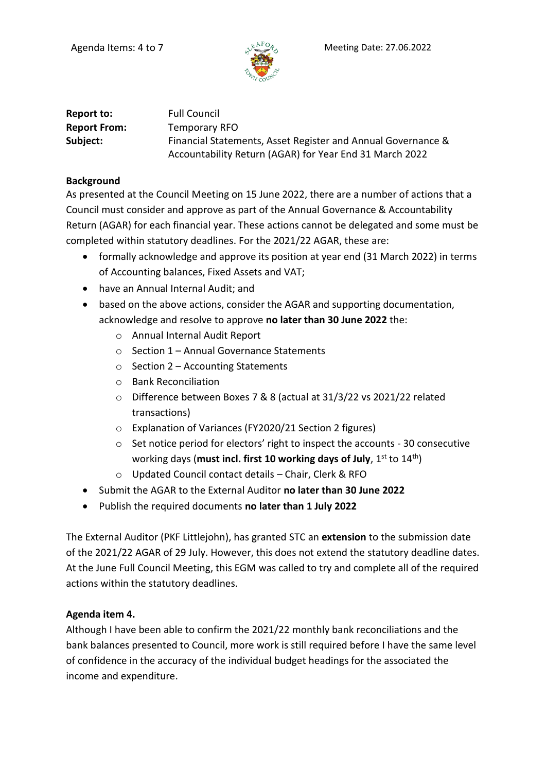

| Report to:          | <b>Full Council</b>                                          |
|---------------------|--------------------------------------------------------------|
| <b>Report From:</b> | Temporary RFO                                                |
| Subject:            | Financial Statements, Asset Register and Annual Governance & |
|                     | Accountability Return (AGAR) for Year End 31 March 2022      |

#### **Background**

As presented at the Council Meeting on 15 June 2022, there are a number of actions that a Council must consider and approve as part of the Annual Governance & Accountability Return (AGAR) for each financial year. These actions cannot be delegated and some must be completed within statutory deadlines. For the 2021/22 AGAR, these are:

- formally acknowledge and approve its position at year end (31 March 2022) in terms of Accounting balances, Fixed Assets and VAT;
- have an Annual Internal Audit; and
- based on the above actions, consider the AGAR and supporting documentation, acknowledge and resolve to approve **no later than 30 June 2022** the:
	- o Annual Internal Audit Report
	- o Section 1 Annual Governance Statements
	- $\circ$  Section 2 Accounting Statements
	- o Bank Reconciliation
	- o Difference between Boxes 7 & 8 (actual at 31/3/22 vs 2021/22 related transactions)
	- o Explanation of Variances (FY2020/21 Section 2 figures)
	- $\circ$  Set notice period for electors' right to inspect the accounts 30 consecutive working days (**must incl. first 10 working days of July**, 1<sup>st</sup> to 14<sup>th</sup>)
	- o Updated Council contact details Chair, Clerk & RFO
- Submit the AGAR to the External Auditor **no later than 30 June 2022**
- Publish the required documents **no later than 1 July 2022**

The External Auditor (PKF Littlejohn), has granted STC an **extension** to the submission date of the 2021/22 AGAR of 29 July. However, this does not extend the statutory deadline dates. At the June Full Council Meeting, this EGM was called to try and complete all of the required actions within the statutory deadlines.

# **Agenda item 4.**

Although I have been able to confirm the 2021/22 monthly bank reconciliations and the bank balances presented to Council, more work is still required before I have the same level of confidence in the accuracy of the individual budget headings for the associated the income and expenditure.